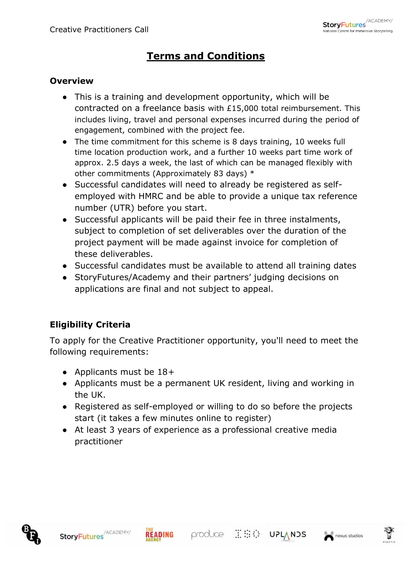# **Terms and Conditions**

#### **Overview**

- This is a training and development opportunity, which will be contracted on a freelance basis with £15,000 total reimbursement. This includes living, travel and personal expenses incurred during the period of engagement, combined with the project fee.
- The time commitment for this scheme is 8 days training, 10 weeks full time location production work, and a further 10 weeks part time work of approx. 2.5 days a week, the last of which can be managed flexibly with other commitments (Approximately 83 days) \*
- Successful candidates will need to already be registered as selfemployed with HMRC and be able to provide a unique tax reference number (UTR) before you start.
- Successful applicants will be paid their fee in three instalments, subject to completion of set deliverables over the duration of the project payment will be made against invoice for completion of these deliverables.
- Successful candidates must be available to attend all training dates
- StoryFutures/Academy and their partners' judging decisions on applications are final and not subject to appeal.

## **Eligibility Criteria**

To apply for the Creative Practitioner opportunity, you'll need to meet the following requirements:

- Applicants must be  $18+$
- Applicants must be a permanent UK resident, living and working in the UK.
- Registered as self-employed or willing to do so before the projects start (it takes a few minutes online to register)
- At least 3 years of experience as a professional creative media practitioner